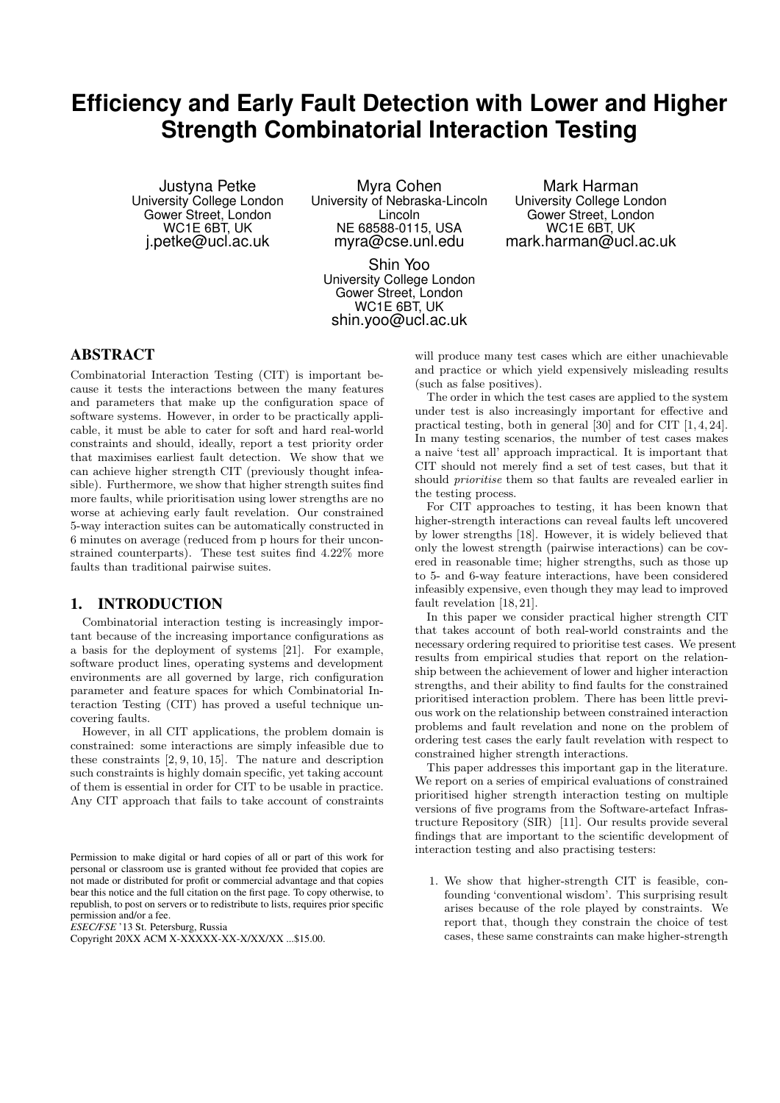# **Efficiency and Early Fault Detection with Lower and Higher Strength Combinatorial Interaction Testing**

Justyna Petke University College London Gower Street, London WC1E 6BT, UK j.petke@ucl.ac.uk

Myra Cohen University of Nebraska-Lincoln Lincoln NE 68588-0115, USA myra@cse.unl.edu

Shin Yoo University College London Gower Street, London WC1E 6BT, UK shin.yoo@ucl.ac.uk

Mark Harman University College London Gower Street, London WC1E 6BT, UK mark.harman@ucl.ac.uk

# ABSTRACT

Combinatorial Interaction Testing (CIT) is important because it tests the interactions between the many features and parameters that make up the configuration space of software systems. However, in order to be practically applicable, it must be able to cater for soft and hard real-world constraints and should, ideally, report a test priority order that maximises earliest fault detection. We show that we can achieve higher strength CIT (previously thought infeasible). Furthermore, we show that higher strength suites find more faults, while prioritisation using lower strengths are no worse at achieving early fault revelation. Our constrained 5-way interaction suites can be automatically constructed in 6 minutes on average (reduced from p hours for their unconstrained counterparts). These test suites find 4.22% more faults than traditional pairwise suites.

## 1. INTRODUCTION

Combinatorial interaction testing is increasingly important because of the increasing importance configurations as a basis for the deployment of systems [21]. For example, software product lines, operating systems and development environments are all governed by large, rich configuration parameter and feature spaces for which Combinatorial Interaction Testing (CIT) has proved a useful technique uncovering faults.

However, in all CIT applications, the problem domain is constrained: some interactions are simply infeasible due to these constraints [2, 9, 10, 15]. The nature and description such constraints is highly domain specific, yet taking account of them is essential in order for CIT to be usable in practice. Any CIT approach that fails to take account of constraints

*ESEC/FSE* '13 St. Petersburg, Russia

will produce many test cases which are either unachievable and practice or which yield expensively misleading results (such as false positives).

The order in which the test cases are applied to the system under test is also increasingly important for effective and practical testing, both in general [30] and for CIT [1, 4, 24]. In many testing scenarios, the number of test cases makes a naive 'test all' approach impractical. It is important that CIT should not merely find a set of test cases, but that it should prioritise them so that faults are revealed earlier in the testing process.

For CIT approaches to testing, it has been known that higher-strength interactions can reveal faults left uncovered by lower strengths [18]. However, it is widely believed that only the lowest strength (pairwise interactions) can be covered in reasonable time; higher strengths, such as those up to 5- and 6-way feature interactions, have been considered infeasibly expensive, even though they may lead to improved fault revelation [18, 21].

In this paper we consider practical higher strength CIT that takes account of both real-world constraints and the necessary ordering required to prioritise test cases. We present results from empirical studies that report on the relationship between the achievement of lower and higher interaction strengths, and their ability to find faults for the constrained prioritised interaction problem. There has been little previous work on the relationship between constrained interaction problems and fault revelation and none on the problem of ordering test cases the early fault revelation with respect to constrained higher strength interactions.

This paper addresses this important gap in the literature. We report on a series of empirical evaluations of constrained prioritised higher strength interaction testing on multiple versions of five programs from the Software-artefact Infrastructure Repository (SIR) [11]. Our results provide several findings that are important to the scientific development of interaction testing and also practising testers:

1. We show that higher-strength CIT is feasible, confounding 'conventional wisdom'. This surprising result arises because of the role played by constraints. We report that, though they constrain the choice of test cases, these same constraints can make higher-strength

Permission to make digital or hard copies of all or part of this work for personal or classroom use is granted without fee provided that copies are not made or distributed for profit or commercial advantage and that copies bear this notice and the full citation on the first page. To copy otherwise, to republish, to post on servers or to redistribute to lists, requires prior specific permission and/or a fee.

Copyright 20XX ACM X-XXXXX-XX-X/XX/XX ...\$15.00.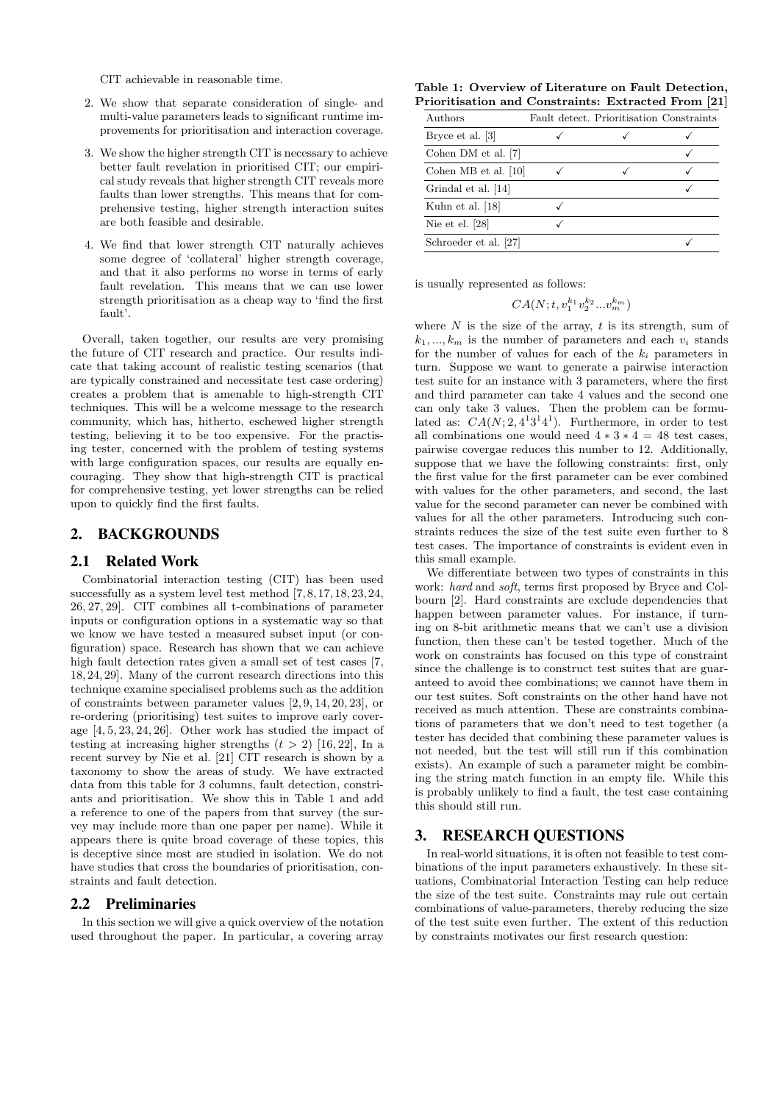CIT achievable in reasonable time.

- 2. We show that separate consideration of single- and multi-value parameters leads to significant runtime improvements for prioritisation and interaction coverage.
- 3. We show the higher strength CIT is necessary to achieve better fault revelation in prioritised CIT; our empirical study reveals that higher strength CIT reveals more faults than lower strengths. This means that for comprehensive testing, higher strength interaction suites are both feasible and desirable.
- 4. We find that lower strength CIT naturally achieves some degree of 'collateral' higher strength coverage, and that it also performs no worse in terms of early fault revelation. This means that we can use lower strength prioritisation as a cheap way to 'find the first fault'.

Overall, taken together, our results are very promising the future of CIT research and practice. Our results indicate that taking account of realistic testing scenarios (that are typically constrained and necessitate test case ordering) creates a problem that is amenable to high-strength CIT techniques. This will be a welcome message to the research community, which has, hitherto, eschewed higher strength testing, believing it to be too expensive. For the practising tester, concerned with the problem of testing systems with large configuration spaces, our results are equally encouraging. They show that high-strength CIT is practical for comprehensive testing, yet lower strengths can be relied upon to quickly find the first faults.

# 2. BACKGROUNDS

## 2.1 Related Work

Combinatorial interaction testing (CIT) has been used successfully as a system level test method [7, 8, 17, 18, 23, 24, 26, 27, 29]. CIT combines all t-combinations of parameter inputs or configuration options in a systematic way so that we know we have tested a measured subset input (or configuration) space. Research has shown that we can achieve high fault detection rates given a small set of test cases [7, 18, 24, 29]. Many of the current research directions into this technique examine specialised problems such as the addition of constraints between parameter values [2, 9, 14, 20, 23], or re-ordering (prioritising) test suites to improve early coverage [4, 5, 23, 24, 26]. Other work has studied the impact of testing at increasing higher strengths  $(t > 2)$  [16, 22], In a recent survey by Nie et al. [21] CIT research is shown by a taxonomy to show the areas of study. We have extracted data from this table for 3 columns, fault detection, constriants and prioritisation. We show this in Table 1 and add a reference to one of the papers from that survey (the survey may include more than one paper per name). While it appears there is quite broad coverage of these topics, this is deceptive since most are studied in isolation. We do not have studies that cross the boundaries of prioritisation, constraints and fault detection.

## 2.2 Preliminaries

In this section we will give a quick overview of the notation used throughout the paper. In particular, a covering array

Table 1: Overview of Literature on Fault Detection, Prioritisation and Constraints: Extracted From [21]

| Authors               | Fault detect. Prioritisation Constraints |  |
|-----------------------|------------------------------------------|--|
| Bryce et al. [3]      |                                          |  |
| Cohen DM et al. [7]   |                                          |  |
| Cohen MB et al. [10]  |                                          |  |
| Grindal et al. [14]   |                                          |  |
| Kuhn et al. [18]      |                                          |  |
| Nie et el. $[28]$     |                                          |  |
| Schroeder et al. [27] |                                          |  |

is usually represented as follows:

$$
CA(N; t, v_1^{k_1} v_2^{k_2} \dots v_m^{k_m})
$$

where  $N$  is the size of the array,  $t$  is its strength, sum of  $k_1, ..., k_m$  is the number of parameters and each  $v_i$  stands for the number of values for each of the  $k_i$  parameters in turn. Suppose we want to generate a pairwise interaction test suite for an instance with 3 parameters, where the first and third parameter can take 4 values and the second one can only take 3 values. Then the problem can be formulated as:  $CA(N; 2, 4^13^14^1)$ . Furthermore, in order to test all combinations one would need  $4 * 3 * 4 = 48$  test cases, pairwise covergae reduces this number to 12. Additionally, suppose that we have the following constraints: first, only the first value for the first parameter can be ever combined with values for the other parameters, and second, the last value for the second parameter can never be combined with values for all the other parameters. Introducing such constraints reduces the size of the test suite even further to 8 test cases. The importance of constraints is evident even in this small example.

We differentiate between two types of constraints in this work: hard and soft, terms first proposed by Bryce and Colbourn [2]. Hard constraints are exclude dependencies that happen between parameter values. For instance, if turning on 8-bit arithmetic means that we can't use a division function, then these can't be tested together. Much of the work on constraints has focused on this type of constraint since the challenge is to construct test suites that are guaranteed to avoid thee combinations; we cannot have them in our test suites. Soft constraints on the other hand have not received as much attention. These are constraints combinations of parameters that we don't need to test together (a tester has decided that combining these parameter values is not needed, but the test will still run if this combination exists). An example of such a parameter might be combining the string match function in an empty file. While this is probably unlikely to find a fault, the test case containing this should still run.

## 3. RESEARCH QUESTIONS

In real-world situations, it is often not feasible to test combinations of the input parameters exhaustively. In these situations, Combinatorial Interaction Testing can help reduce the size of the test suite. Constraints may rule out certain combinations of value-parameters, thereby reducing the size of the test suite even further. The extent of this reduction by constraints motivates our first research question: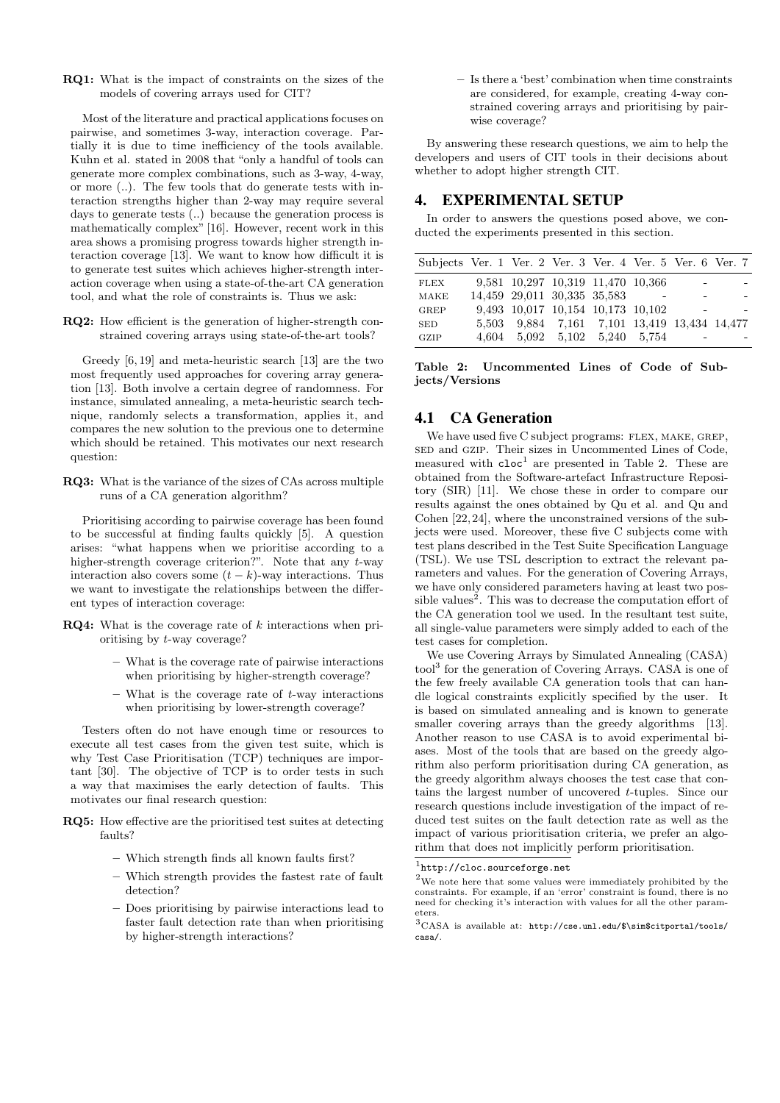RQ1: What is the impact of constraints on the sizes of the models of covering arrays used for CIT?

Most of the literature and practical applications focuses on pairwise, and sometimes 3-way, interaction coverage. Partially it is due to time inefficiency of the tools available. Kuhn et al. stated in 2008 that "only a handful of tools can generate more complex combinations, such as 3-way, 4-way, or more (..). The few tools that do generate tests with interaction strengths higher than 2-way may require several days to generate tests (..) because the generation process is mathematically complex" [16]. However, recent work in this area shows a promising progress towards higher strength interaction coverage [13]. We want to know how difficult it is to generate test suites which achieves higher-strength interaction coverage when using a state-of-the-art CA generation tool, and what the role of constraints is. Thus we ask:

RQ2: How efficient is the generation of higher-strength constrained covering arrays using state-of-the-art tools?

Greedy [6, 19] and meta-heuristic search [13] are the two most frequently used approaches for covering array generation [13]. Both involve a certain degree of randomness. For instance, simulated annealing, a meta-heuristic search technique, randomly selects a transformation, applies it, and compares the new solution to the previous one to determine which should be retained. This motivates our next research question:

RQ3: What is the variance of the sizes of CAs across multiple runs of a CA generation algorithm?

Prioritising according to pairwise coverage has been found to be successful at finding faults quickly [5]. A question arises: "what happens when we prioritise according to a higher-strength coverage criterion?". Note that any t-way interaction also covers some  $(t - k)$ -way interactions. Thus we want to investigate the relationships between the different types of interaction coverage:

- **RQ4:** What is the coverage rate of  $k$  interactions when prioritising by t-way coverage?
	- What is the coverage rate of pairwise interactions when prioritising by higher-strength coverage?
	- $-$  What is the coverage rate of  $t$ -way interactions when prioritising by lower-strength coverage?

Testers often do not have enough time or resources to execute all test cases from the given test suite, which is why Test Case Prioritisation (TCP) techniques are important [30]. The objective of TCP is to order tests in such a way that maximises the early detection of faults. This motivates our final research question:

- RQ5: How effective are the prioritised test suites at detecting faults?
	- Which strength finds all known faults first?
	- Which strength provides the fastest rate of fault detection?
	- Does prioritising by pairwise interactions lead to faster fault detection rate than when prioritising by higher-strength interactions?

– Is there a 'best' combination when time constraints are considered, for example, creating 4-way constrained covering arrays and prioritising by pairwise coverage?

By answering these research questions, we aim to help the developers and users of CIT tools in their decisions about whether to adopt higher strength CIT.

## 4. EXPERIMENTAL SETUP

In order to answers the questions posed above, we conducted the experiments presented in this section.

| Subjects Ver. 1 Ver. 2 Ver. 3 Ver. 4 Ver. 5 Ver. 6 Ver. 7 |                                              |  |                          |  |
|-----------------------------------------------------------|----------------------------------------------|--|--------------------------|--|
| <b>FLEX</b>                                               | 9,581 10,297 10,319 11,470 10,366            |  |                          |  |
| MAKE                                                      | 14,459 29,011 30,335 35,583                  |  |                          |  |
| GREP                                                      | 9,493 10,017 10,154 10,173 10,102            |  | $\overline{\phantom{0}}$ |  |
| <b>SED</b>                                                | 5.503 9.884 7.161 7.101 13.419 13.434 14.477 |  |                          |  |
| GZIP                                                      | 4,604 5,092 5,102 5,240 5,754                |  | -                        |  |

Table 2: Uncommented Lines of Code of Subjects/Versions

## 4.1 CA Generation

We have used five C subject programs: FLEX, MAKE, GREP, sed and gzip. Their sizes in Uncommented Lines of Code, measured with  $\text{cloc}^1$  are presented in Table 2. These are obtained from the Software-artefact Infrastructure Repository (SIR) [11]. We chose these in order to compare our results against the ones obtained by Qu et al. and Qu and Cohen [22, 24], where the unconstrained versions of the subjects were used. Moreover, these five C subjects come with test plans described in the Test Suite Specification Language (TSL). We use TSL description to extract the relevant parameters and values. For the generation of Covering Arrays, we have only considered parameters having at least two possible values<sup>2</sup>. This was to decrease the computation effort of the CA generation tool we used. In the resultant test suite, all single-value parameters were simply added to each of the test cases for completion.

We use Covering Arrays by Simulated Annealing (CASA) tool<sup>3</sup> for the generation of Covering Arrays. CASA is one of the few freely available CA generation tools that can handle logical constraints explicitly specified by the user. It is based on simulated annealing and is known to generate smaller covering arrays than the greedy algorithms [13]. Another reason to use CASA is to avoid experimental biases. Most of the tools that are based on the greedy algorithm also perform prioritisation during CA generation, as the greedy algorithm always chooses the test case that contains the largest number of uncovered t-tuples. Since our research questions include investigation of the impact of reduced test suites on the fault detection rate as well as the impact of various prioritisation criteria, we prefer an algorithm that does not implicitly perform prioritisation.

<sup>1</sup> http://cloc.sourceforge.net

 $^{2}$  We note here that some values were immediately prohibited by the constraints. For example, if an 'error' constraint is found, there is no need for checking it's interaction with values for all the other parameters.

<sup>3</sup>CASA is available at: http://cse.unl.edu/\$\sim\$citportal/tools/ casa/.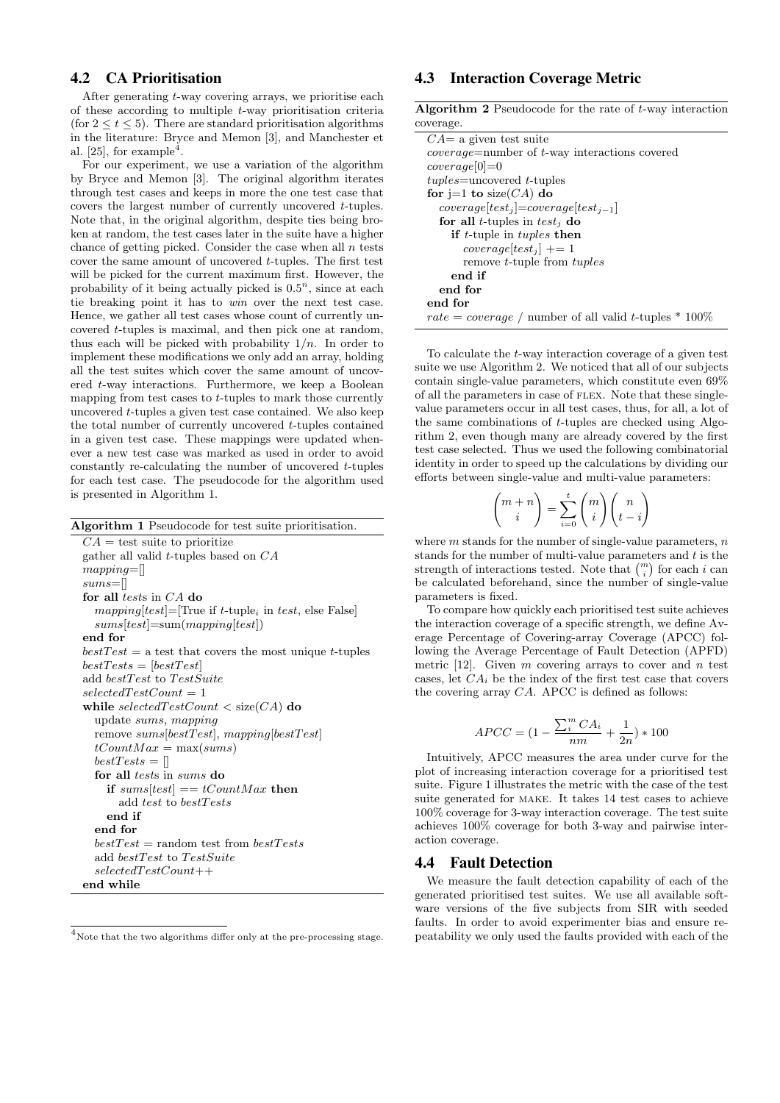# 4.2 CA Prioritisation

After generating t-way covering arrays, we prioritise each of these according to multiple t-way prioritisation criteria (for  $2 \le t \le 5$ ). There are standard prioritisation algorithms in the literature: Bryce and Memon [3], and Manchester et al. [25], for example<sup>4</sup>.

For our experiment, we use a variation of the algorithm by Bryce and Memon [3]. The original algorithm iterates through test cases and keeps in more the one test case that covers the largest number of currently uncovered t-tuples. Note that, in the original algorithm, despite ties being broken at random, the test cases later in the suite have a higher chance of getting picked. Consider the case when all  $n$  tests cover the same amount of uncovered t-tuples. The first test will be picked for the current maximum first. However, the probability of it being actually picked is  $0.5<sup>n</sup>$ , since at each tie breaking point it has to win over the next test case. Hence, we gather all test cases whose count of currently uncovered t-tuples is maximal, and then pick one at random, thus each will be picked with probability  $1/n$ . In order to implement these modifications we only add an array, holding all the test suites which cover the same amount of uncovered t-way interactions. Furthermore, we keep a Boolean mapping from test cases to  $t$ -tuples to mark those currently uncovered t-tuples a given test case contained. We also keep the total number of currently uncovered t-tuples contained in a given test case. These mappings were updated whenever a new test case was marked as used in order to avoid constantly re-calculating the number of uncovered t-tuples for each test case. The pseudocode for the algorithm used is presented in Algorithm 1.

| Algorithm 1 Pseudocode for test suite prioritisation.     |
|-----------------------------------------------------------|
| $CA =$ test suite to prioritize                           |
| gather all valid t-tuples based on $CA$                   |
| $mappinq =$                                               |
| $sums=$                                                   |
| for all tests in $CA$ do                                  |
| $mapping[test] = [True if t-tuple_i in test, else False]$ |
| $sums[test] = sum(mapping[test])$                         |
| end for                                                   |
| $bestTest = a test that covers the most unique t-tuples$  |
| $bestTests = [bestTest]$                                  |
| add bestTest to TestSuite                                 |
| $selectedTestCount = 1$                                   |
| while selected $TestCount < size(CA)$ do                  |
| update sums, mapping                                      |
| remove $sums[bestTest]$ , mapping[bestTest]               |
| $tCountMax = \max(sums)$                                  |
| $bestTests = \Box$                                        |
| for all <i>tests</i> in <i>sums</i> do                    |
| if sums $test$ = $tCountMax$ then                         |
| add test to bestTests                                     |
| end if                                                    |
| end for                                                   |
| $bestTest = random test from bestTests$                   |
| add bestTest to TestSuite                                 |
| $selectedTestCount++$                                     |
| end while                                                 |

 $4$ Note that the two algorithms differ only at the pre-processing stage.

# 4.3 Interaction Coverage Metric

Algorithm 2 Pseudocode for the rate of t-way interaction coverage.

| $CA = a$ given test suite                                |
|----------------------------------------------------------|
| $coverage = number of t-way interactions covered$        |
| $coverage 0 =0$                                          |
| $tuples =$ uncovered $t$ -tuples                         |
| for j=1 to size( $CA$ ) do                               |
| $coverage[test_j] = coverage[test_{j-1}]$                |
| for all <i>t</i> -tuples in test, do                     |
| <b>if</b> t-tuple in tuples then                         |
| $coverage test_i  += 1$                                  |
| remove <i>t</i> -tuple from <i>tuples</i>                |
| end if                                                   |
| end for                                                  |
| end for                                                  |
| rate = coverage / number of all valid t-tuples * $100\%$ |

To calculate the t-way interaction coverage of a given test suite we use Algorithm 2. We noticed that all of our subjects contain single-value parameters, which constitute even 69% of all the parameters in case of FLEX. Note that these singlevalue parameters occur in all test cases, thus, for all, a lot of the same combinations of t-tuples are checked using Algorithm 2, even though many are already covered by the first test case selected. Thus we used the following combinatorial identity in order to speed up the calculations by dividing our efforts between single-value and multi-value parameters:

$$
\binom{m+n}{i} = \sum_{i=0}^{t} \binom{m}{i} \binom{n}{t-i}
$$

where  $m$  stands for the number of single-value parameters,  $n$ stands for the number of multi-value parameters and  $t$  is the strength of interactions tested. Note that  $\binom{m}{i}$  for each i can be calculated beforehand, since the number of single-value parameters is fixed.

To compare how quickly each prioritised test suite achieves the interaction coverage of a specific strength, we define Average Percentage of Covering-array Coverage (APCC) following the Average Percentage of Fault Detection (APFD) metric  $[12]$ . Given m covering arrays to cover and n test cases, let  $CA_i$  be the index of the first test case that covers the covering array  $CA$ . APCC is defined as follows:

$$
APCC = (1 - \frac{\sum_{i}^{m} CA_i}{nm} + \frac{1}{2n}) * 100
$$

Intuitively, APCC measures the area under curve for the plot of increasing interaction coverage for a prioritised test suite. Figure 1 illustrates the metric with the case of the test suite generated for make. It takes 14 test cases to achieve 100% coverage for 3-way interaction coverage. The test suite achieves 100% coverage for both 3-way and pairwise interaction coverage.

## 4.4 Fault Detection

We measure the fault detection capability of each of the generated prioritised test suites. We use all available software versions of the five subjects from SIR with seeded faults. In order to avoid experimenter bias and ensure repeatability we only used the faults provided with each of the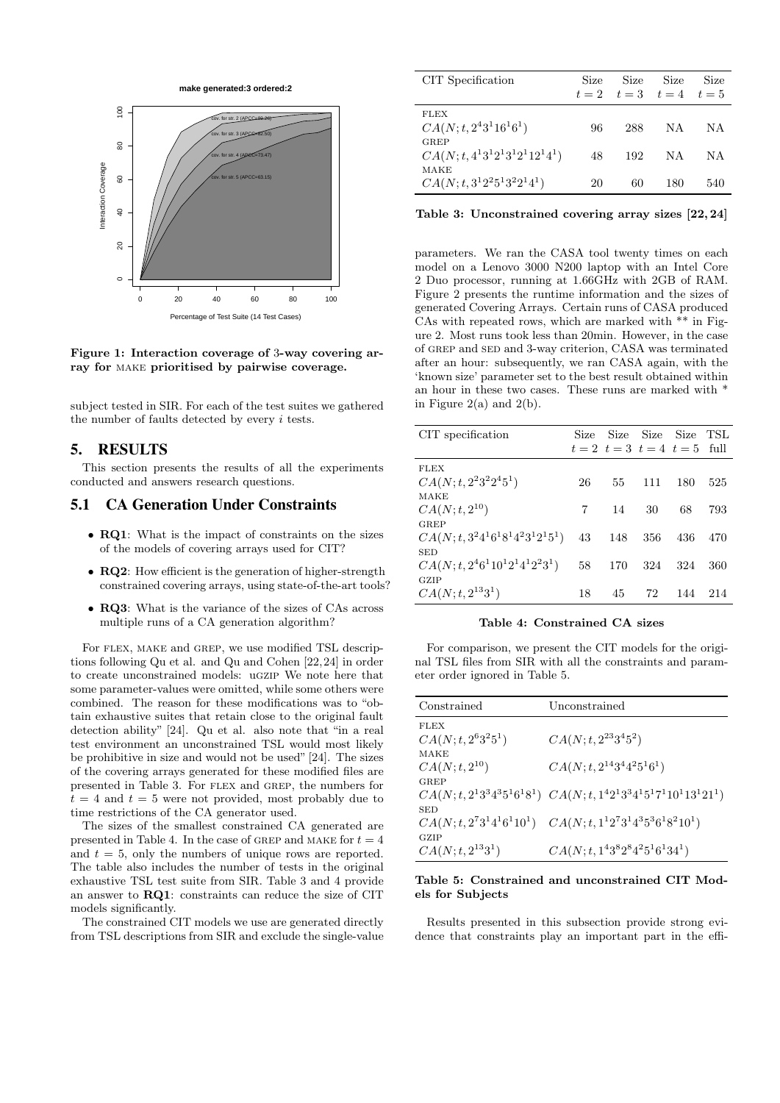

Figure 1: Interaction coverage of 3-way covering array for make prioritised by pairwise coverage.

subject tested in SIR. For each of the test suites we gathered the number of faults detected by every i tests.

# 5. RESULTS

This section presents the results of all the experiments conducted and answers research questions.

# 5.1 CA Generation Under Constraints

- RQ1: What is the impact of constraints on the sizes of the models of covering arrays used for CIT?
- RQ2: How efficient is the generation of higher-strength constrained covering arrays, using state-of-the-art tools?
- RQ3: What is the variance of the sizes of CAs across multiple runs of a CA generation algorithm?

For FLEX, MAKE and GREP, we use modified TSL descriptions following Qu et al. and Qu and Cohen [22,24] in order to create unconstrained models: ugzip We note here that some parameter-values were omitted, while some others were combined. The reason for these modifications was to "obtain exhaustive suites that retain close to the original fault detection ability" [24]. Qu et al. also note that "in a real test environment an unconstrained TSL would most likely be prohibitive in size and would not be used" [24]. The sizes of the covering arrays generated for these modified files are presented in Table 3. For flex and grep, the numbers for  $t = 4$  and  $t = 5$  were not provided, most probably due to time restrictions of the CA generator used.

The sizes of the smallest constrained CA generated are presented in Table 4. In the case of GREP and MAKE for  $t = 4$ and  $t = 5$ , only the numbers of unique rows are reported. The table also includes the number of tests in the original exhaustive TSL test suite from SIR. Table 3 and 4 provide an answer to RQ1: constraints can reduce the size of CIT models significantly.

The constrained CIT models we use are generated directly from TSL descriptions from SIR and exclude the single-value

| CIT Specification                          | Size | Size | Size<br>$t = 2$ $t = 3$ $t = 4$ | Size<br>$t=5$ |
|--------------------------------------------|------|------|---------------------------------|---------------|
| <b>FLEX</b><br>$CA(N; t, 2^43^116^16^1)$   | 96   | 288  | ΝA                              | NА            |
| GREP<br>$CA(N; t, 4^13^12^13^12^112^14^1)$ | 48   | 192  | ΝA                              | ΝA            |
| MAKE<br>$CA(N; t, 3^12^25^13^22^14^1)$     | 20   | 60   | 180                             | 540           |

Table 3: Unconstrained covering array sizes [22, 24]

parameters. We ran the CASA tool twenty times on each model on a Lenovo 3000 N200 laptop with an Intel Core 2 Duo processor, running at 1.66GHz with 2GB of RAM. Figure 2 presents the runtime information and the sizes of generated Covering Arrays. Certain runs of CASA produced CAs with repeated rows, which are marked with \*\* in Figure 2. Most runs took less than 20min. However, in the case of GREP and SED and 3-way criterion, CASA was terminated after an hour: subsequently, we ran CASA again, with the 'known size' parameter set to the best result obtained within an hour in these two cases. These runs are marked with \* in Figure 2(a) and 2(b).

| CIT specification                  | Size |     | Size Size Size                       |     | TSL |
|------------------------------------|------|-----|--------------------------------------|-----|-----|
|                                    |      |     | $t = 2$ $t = 3$ $t = 4$ $t = 5$ full |     |     |
| <b>FLEX</b>                        |      |     |                                      |     |     |
| $CA(N; t, 22322451)$               | 26   | 55  | 111                                  | 180 | 525 |
| MAKE                               |      |     |                                      |     |     |
| $CA(N; t, 2^{10})$                 | 7    | 14  | 30                                   | 68  | 793 |
| GREP                               |      |     |                                      |     |     |
| $CA(N; t, 3241618142312151)$       | 43   | 148 | 356                                  | 436 | 470 |
| <b>SED</b>                         |      |     |                                      |     |     |
| $CA(N; t, 2^46^110^12^14^12^23^1)$ | 58   | 170 | 324                                  | 324 | 360 |
| GZIP                               |      |     |                                      |     |     |
| $CA(N; t, 2^{13}3^1)$              | 18   | 45  | 72                                   | 144 | 214 |

#### Table 4: Constrained CA sizes

For comparison, we present the CIT models for the original TSL files from SIR with all the constraints and parameter order ignored in Table 5.

| Constrained             | Unconstrained                                                             |
|-------------------------|---------------------------------------------------------------------------|
| <b>FLEX</b>             |                                                                           |
| $CA(N; t, 2^6 3^2 5^1)$ | $CA(N; t, 2^{23}3^45^2)$                                                  |
| MAKE                    |                                                                           |
| $CA(N; t, 2^{10})$      | $CA(N; t, 2^{14}3^44^25^16^1)$                                            |
| GREP                    |                                                                           |
|                         | $CA(N; t, 2^13^34^35^16^18^1)$ $CA(N; t, 1^42^13^34^15^17^110^113^121^1)$ |
| <b>SED</b>              |                                                                           |
|                         | $CA(N; t, 2^73^14^16^110^1)$ $CA(N; t, 1^12^73^14^35^36^18^210^1)$        |
| GZIP                    |                                                                           |
| $CA(N; t, 2^{13}3^1)$   | $CA(N; t, 143828425161341)$                                               |

#### Table 5: Constrained and unconstrained CIT Models for Subjects

Results presented in this subsection provide strong evidence that constraints play an important part in the effi-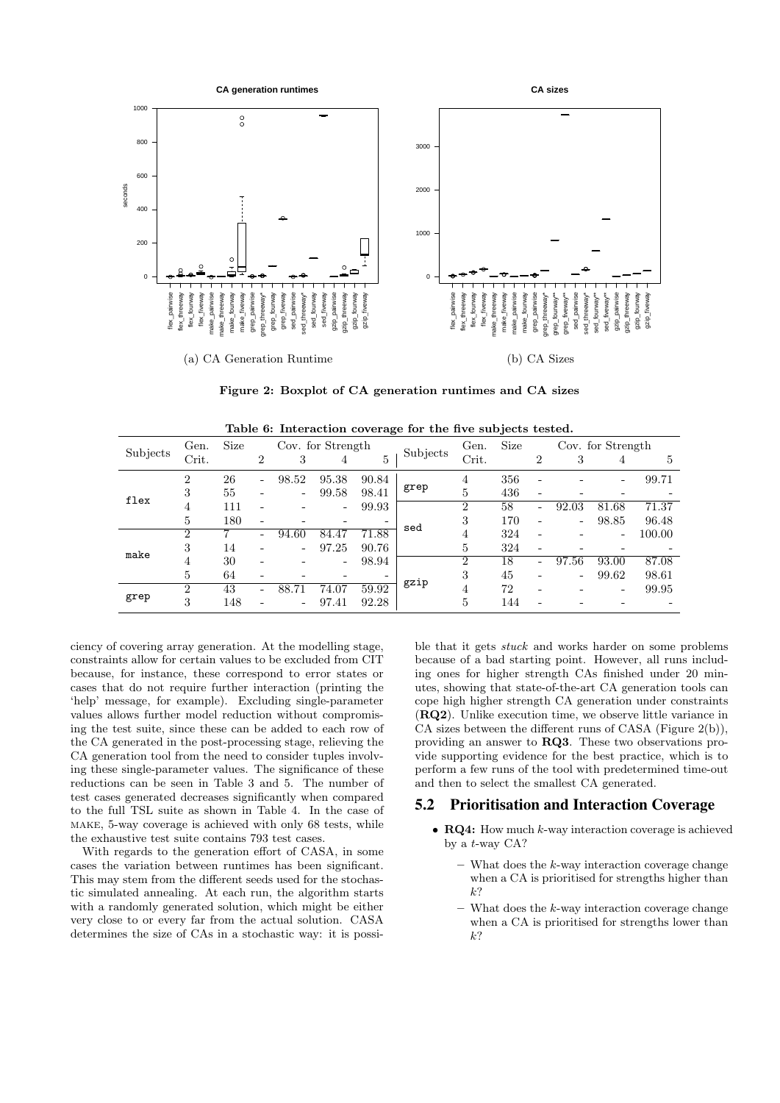

Figure 2: Boxplot of CA generation runtimes and CA sizes

|                                  | Gen.           | <b>Size</b> | Cov. for Strength |                          |       |                          | Subjects | <b>Size</b><br>Gen. |     |   | Cov. for Strength |       |        |
|----------------------------------|----------------|-------------|-------------------|--------------------------|-------|--------------------------|----------|---------------------|-----|---|-------------------|-------|--------|
| Subjects<br>flex<br>make<br>grep | Crit.          |             | 2                 | 3                        | 4     | 5                        |          | Crit.               |     | 2 | 3                 | 4     | 5      |
|                                  | 2              | 26          | ۰                 | 98.52                    | 95.38 | 90.84                    |          | 4                   | 356 |   |                   |       | 99.71  |
|                                  | 3              | 55          |                   | $\overline{\phantom{a}}$ | 99.58 | 98.41                    | grep     | 5                   | 436 |   |                   |       |        |
|                                  | 4              | 111         |                   |                          | -     | 99.93                    |          | $\overline{2}$      | 58  | ۰ | 92.03             | 81.68 | 71.37  |
|                                  | 5              | 180         |                   |                          |       |                          | sed      | 3                   | 170 | ۳ | ۰                 | 98.85 | 96.48  |
|                                  | $\overline{2}$ |             |                   | 94.60                    | 84.47 | 71.88                    |          | 4                   | 324 |   |                   | -     | 100.00 |
|                                  | 3              | 14          |                   | $\overline{\phantom{0}}$ | 97.25 | 90.76                    |          | 5                   | 324 |   |                   |       |        |
|                                  | 4              | 30          |                   |                          |       | 98.94                    |          | $\overline{2}$      | 18  | ۰ | 97.56             | 93.00 | 87.08  |
|                                  | 5              | 64          |                   |                          |       | $\overline{\phantom{0}}$ |          | 3                   | 45  | - | -                 | 99.62 | 98.61  |
|                                  | 2              | 43          | ۰                 | 88.71                    | 74.07 | 59.92                    | gzip     | 4                   | 72  |   |                   |       | 99.95  |
|                                  | 3              | 148         |                   | $\overline{\phantom{a}}$ | 97.41 | 92.28                    |          | 5                   | 144 |   |                   |       |        |

ciency of covering array generation. At the modelling stage, constraints allow for certain values to be excluded from CIT because, for instance, these correspond to error states or cases that do not require further interaction (printing the 'help' message, for example). Excluding single-parameter values allows further model reduction without compromising the test suite, since these can be added to each row of the CA generated in the post-processing stage, relieving the CA generation tool from the need to consider tuples involving these single-parameter values. The significance of these reductions can be seen in Table 3 and 5. The number of test cases generated decreases significantly when compared to the full TSL suite as shown in Table 4. In the case of make, 5-way coverage is achieved with only 68 tests, while the exhaustive test suite contains 793 test cases.

With regards to the generation effort of CASA, in some cases the variation between runtimes has been significant. This may stem from the different seeds used for the stochastic simulated annealing. At each run, the algorithm starts with a randomly generated solution, which might be either very close to or every far from the actual solution. CASA determines the size of CAs in a stochastic way: it is possi-

ble that it gets stuck and works harder on some problems because of a bad starting point. However, all runs including ones for higher strength CAs finished under 20 minutes, showing that state-of-the-art CA generation tools can cope high higher strength CA generation under constraints (RQ2). Unlike execution time, we observe little variance in CA sizes between the different runs of CASA (Figure 2(b)), providing an answer to RQ3. These two observations provide supporting evidence for the best practice, which is to perform a few runs of the tool with predetermined time-out and then to select the smallest CA generated.

# 5.2 Prioritisation and Interaction Coverage

- $RQ4$ : How much  $k$ -way interaction coverage is achieved by a t-way CA?
	- $-$  What does the k-way interaction coverage change when a CA is prioritised for strengths higher than k?
	- $-$  What does the  $k$ -way interaction coverage change when a CA is prioritised for strengths lower than k?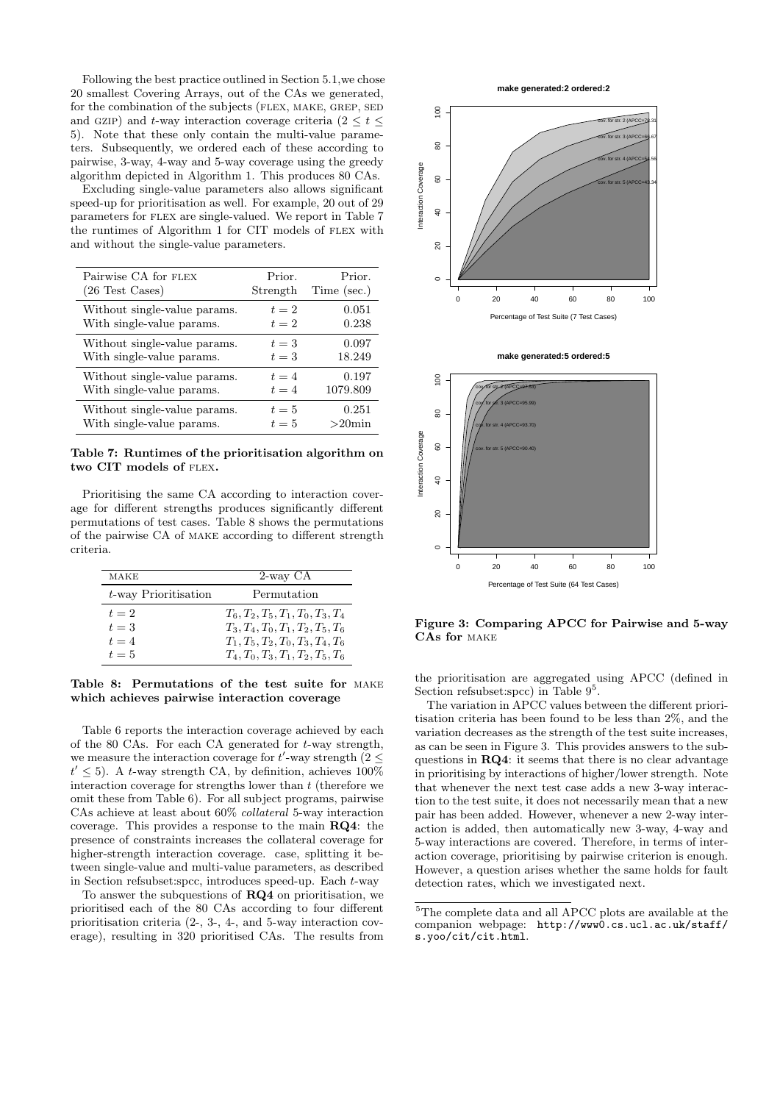Following the best practice outlined in Section 5.1,we chose 20 smallest Covering Arrays, out of the CAs we generated, for the combination of the subjects (FLEX, MAKE, GREP, SED and GZIP) and t-way interaction coverage criteria ( $2 \le t \le$ 5). Note that these only contain the multi-value parameters. Subsequently, we ordered each of these according to pairwise, 3-way, 4-way and 5-way coverage using the greedy algorithm depicted in Algorithm 1. This produces 80 CAs.

Excluding single-value parameters also allows significant speed-up for prioritisation as well. For example, 20 out of 29 parameters for flex are single-valued. We report in Table 7 the runtimes of Algorithm 1 for CIT models of flex with and without the single-value parameters.

| Pairwise CA for FLEX         | Prior.   | Prior.      |
|------------------------------|----------|-------------|
| $(26$ Test Cases)            | Strength | Time (sec.) |
| Without single-value params. | $t=2$    | 0.051       |
| With single-value params.    | $t=2$    | 0.238       |
| Without single-value params. | $t=3$    | 0.097       |
| With single-value params.    | $t=3$    | 18.249      |
| Without single-value params. | $t=4$    | 0.197       |
| With single-value params.    | $t=4$    | 1079.809    |
| Without single-value params. | $t=5$    | 0.251       |
| With single-value params.    | $t=5$    | $>20$ min   |

Table 7: Runtimes of the prioritisation algorithm on two CIT models of flex.

Prioritising the same CA according to interaction coverage for different strengths produces significantly different permutations of test cases. Table 8 shows the permutations of the pairwise CA of make according to different strength criteria.

| MAKE                 | 2-way CA                            |
|----------------------|-------------------------------------|
| t-way Prioritisation | Permutation                         |
| $t=2$                | $T_6, T_2, T_5, T_1, T_0, T_3, T_4$ |
| $t=3$                | $T_3, T_4, T_0, T_1, T_2, T_5, T_6$ |
| $t=4$                | $T_1, T_5, T_2, T_0, T_3, T_4, T_6$ |
| $t=5$                | $T_4, T_0, T_3, T_1, T_2, T_5, T_6$ |

Table 8: Permutations of the test suite for make which achieves pairwise interaction coverage

Table 6 reports the interaction coverage achieved by each of the 80 CAs. For each CA generated for t-way strength, we measure the interaction coverage for  $t'$ -way strength (2  $\leq$  $t' \leq 5$ ). A t-way strength CA, by definition, achieves 100% interaction coverage for strengths lower than  $t$  (therefore we omit these from Table 6). For all subject programs, pairwise CAs achieve at least about 60% collateral 5-way interaction coverage. This provides a response to the main RQ4: the presence of constraints increases the collateral coverage for higher-strength interaction coverage. case, splitting it between single-value and multi-value parameters, as described in Section refsubset:spcc, introduces speed-up. Each t-way

To answer the subquestions of RQ4 on prioritisation, we prioritised each of the 80 CAs according to four different prioritisation criteria (2-, 3-, 4-, and 5-way interaction coverage), resulting in 320 prioritised CAs. The results from







Figure 3: Comparing APCC for Pairwise and 5-way CAs for make

the prioritisation are aggregated using APCC (defined in Section refsubset: spcc) in Table  $9^5$ .

The variation in APCC values between the different prioritisation criteria has been found to be less than 2%, and the variation decreases as the strength of the test suite increases, as can be seen in Figure 3. This provides answers to the subquestions in RQ4: it seems that there is no clear advantage in prioritising by interactions of higher/lower strength. Note that whenever the next test case adds a new 3-way interaction to the test suite, it does not necessarily mean that a new pair has been added. However, whenever a new 2-way interaction is added, then automatically new 3-way, 4-way and 5-way interactions are covered. Therefore, in terms of interaction coverage, prioritising by pairwise criterion is enough. However, a question arises whether the same holds for fault detection rates, which we investigated next.

 ${}^{5}\mathrm{The}$  complete data and all APCC plots are available at the companion webpage: http://www0.cs.ucl.ac.uk/staff/ s.yoo/cit/cit.html.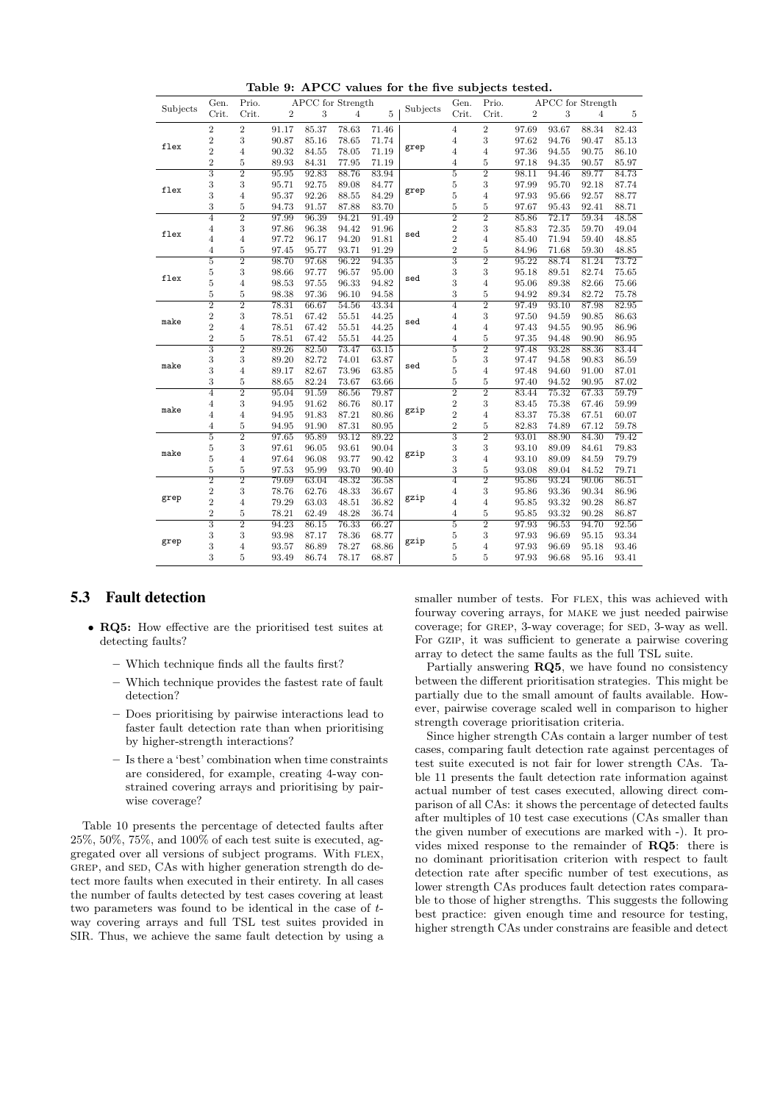|           | Gen.                      | Prio.          |                | APCC for Strength |       |       |          | Gen.                      | Prio.          |                |       | APCC for Strength |                |
|-----------|---------------------------|----------------|----------------|-------------------|-------|-------|----------|---------------------------|----------------|----------------|-------|-------------------|----------------|
| Subjects  | Crit.                     | Crit.          | $\overline{2}$ | 3                 | 4     | 5     | Subjects | Crit.                     | Crit.          | $\overline{2}$ | 3     | 4                 | $\overline{5}$ |
|           | $\overline{2}$            | $\overline{2}$ | 91.17          | 85.37             | 78.63 | 71.46 |          | $\overline{4}$            | $\overline{2}$ | 97.69          | 93.67 | 88.34             | 82.43          |
|           | $\overline{2}$            | 3              | 90.87          | 85.16             | 78.65 | 71.74 |          | $\overline{4}$            | 3              | 97.62          | 94.76 | 90.47             | 85.13          |
| flex      | $\overline{2}$            | $\overline{4}$ | 90.32          | 84.55             | 78.05 | 71.19 | grep     | $\overline{4}$            | $\overline{4}$ | 97.36          | 94.55 | 90.75             | 86.10          |
|           | $\overline{2}$            | $\overline{5}$ | 89.93          | 84.31             | 77.95 | 71.19 |          | $\overline{4}$            | 5              | 97.18          | 94.35 | 90.57             | 85.97          |
|           | $\overline{\overline{3}}$ | $\overline{2}$ | 95.95          | 92.83             | 88.76 | 83.94 |          | $\overline{5}$            | $\overline{2}$ | 98.11          | 94.46 | 89.77             | 84.73          |
|           | 3                         | 3              | 95.71          | 92.75             | 89.08 | 84.77 |          | $\bf 5$                   | 3              | 97.99          | 95.70 | 92.18             | 87.74          |
| flex      | 3                         | $\overline{4}$ | 95.37          | 92.26             | 88.55 | 84.29 | grep     | $\overline{5}$            | 4              | 97.93          | 95.66 | 92.57             | 88.77          |
|           | 3                         | $\overline{5}$ | 94.73          | 91.57             | 87.88 | 83.70 |          | $\overline{5}$            | 5              | 97.67          | 95.43 | 92.41             | 88.71          |
|           | 4                         | $\overline{2}$ | 97.99          | 96.39             | 94.21 | 91.49 |          | $\overline{2}$            | $\overline{2}$ | 85.86          | 72.17 | 59.34             | 48.58          |
|           | $\overline{4}$            | 3              | 97.86          | 96.38             | 94.42 | 91.96 |          | $\overline{2}$            | 3              | 85.83          | 72.35 | 59.70             | 49.04          |
| flex      | $\overline{4}$            | $\overline{4}$ | 97.72          | 96.17             | 94.20 | 91.81 | sed      | $\overline{2}$            | 4              | 85.40          | 71.94 | 59.40             | 48.85          |
|           | $\overline{4}$            | $\overline{5}$ | 97.45          | 95.77             | 93.71 | 91.29 |          | $\overline{2}$            | $\overline{5}$ | 84.96          | 71.68 | 59.30             | 48.85          |
|           | 5                         | $\overline{2}$ | 98.70          | 97.68             | 96.22 | 94.35 |          | 3                         | $\overline{2}$ | 95.22          | 88.74 | 81.24             | 73.72          |
|           | $\overline{5}$            | 3              | 98.66          | 97.77             | 96.57 | 95.00 | sed      | 3                         | 3              | 95.18          | 89.51 | 82.74             | 75.65          |
| flex<br>5 |                           | $\overline{4}$ | 98.53          | 97.55             | 96.33 | 94.82 |          | 3                         | $\overline{4}$ | 95.06          | 89.38 | 82.66             | 75.66          |
|           | $\bf 5$                   | $\overline{5}$ | 98.38          | 97.36             | 96.10 | 94.58 |          | 3                         | $\overline{5}$ | 94.92          | 89.34 | 82.72             | 75.78          |
| make      | $\overline{2}$            | $\overline{2}$ | 78.31          | 66.67             | 54.56 | 43.34 |          | $\overline{4}$            | $\overline{2}$ | 97.49          | 93.10 | 87.98             | 82.95          |
|           | $\sqrt{2}$                | 3              | 78.51          | 67.42             | 55.51 | 44.25 |          | $\overline{4}$            | 3              | 97.50          | 94.59 | 90.85             | 86.63          |
|           | $\overline{2}$            | $\overline{4}$ | 78.51          | 67.42             | 55.51 | 44.25 | sed      | $\overline{4}$            | $\overline{4}$ | 97.43          | 94.55 | 90.95             | 86.96          |
|           | $\sqrt{2}$                | $\overline{5}$ | 78.51          | 67.42             | 55.51 | 44.25 |          | $\overline{4}$            | $\overline{5}$ | 97.35          | 94.48 | 90.90             | 86.95          |
|           | $\overline{3}$            | $\overline{2}$ | 89.26          | 82.50             | 73.47 | 63.15 |          | $\overline{5}$            | $\overline{2}$ | 97.48          | 93.28 | 88.36             | 83.44          |
|           | 3                         | 3              | 89.20          | 82.72             | 74.01 | 63.87 |          | $\overline{5}$            | 3              | 97.47          | 94.58 | 90.83             | 86.59          |
| make<br>3 |                           | $\overline{4}$ | 89.17          | 82.67             | 73.96 | 63.85 | sed      | $\overline{5}$            | $\overline{4}$ | 97.48          | 94.60 | 91.00             | 87.01          |
|           | 3                         | 5              | 88.65          | 82.24             | 73.67 | 63.66 |          | 5                         | 5              | 97.40          | 94.52 | 90.95             | 87.02          |
|           | 4                         | $\overline{2}$ | 95.04          | 91.59             | 86.56 | 79.87 |          | $\overline{2}$            | $\overline{2}$ | 83.44          | 75.32 | 67.33             | 59.79          |
| make      | $\overline{4}$            | 3              | 94.95          | 91.62             | 86.76 | 80.17 |          | $\overline{2}$            | 3              | 83.45          | 75.38 | 67.46             | 59.99          |
|           | 4                         | $\overline{4}$ | 94.95          | 91.83             | 87.21 | 80.86 | gzip     | $\overline{2}$            | $\overline{4}$ | 83.37          | 75.38 | 67.51             | 60.07          |
|           | $\overline{4}$            | $\overline{5}$ | 94.95          | 91.90             | 87.31 | 80.95 |          | $\overline{2}$            | 5              | 82.83          | 74.89 | 67.12             | 59.78          |
|           | $\overline{5}$            | $\overline{2}$ | 97.65          | 95.89             | 93.12 | 89.22 |          | $\overline{\overline{3}}$ | $\overline{2}$ | 93.01          | 88.90 | 84.30             | 79.42          |
| make      | $\overline{5}$            | 3              | 97.61          | 96.05             | 93.61 | 90.04 | gzip     | 3                         | 3              | 93.10          | 89.09 | 84.61             | 79.83          |
|           | 5                         | $\overline{4}$ | 97.64          | 96.08             | 93.77 | 90.42 |          | 3                         | $\overline{4}$ | 93.10          | 89.09 | 84.59             | 79.79          |
|           | 5                         | 5              | 97.53          | 95.99             | 93.70 | 90.40 |          | 3                         | 5              | 93.08          | 89.04 | 84.52             | 79.71          |
|           | $\overline{2}$            | $\overline{2}$ | 79.69          | 63.04             | 48.32 | 36.58 |          | $\overline{4}$            | $\overline{2}$ | 95.86          | 93.24 | 90.06             | 86.51          |
|           | $\overline{2}$            | 3              | 78.76          | 62.76             | 48.33 | 36.67 |          | $\overline{4}$            | 3              | 95.86          | 93.36 | 90.34             | 86.96          |
|           | $\overline{2}$            | $\overline{4}$ | 79.29          | 63.03             | 48.51 | 36.82 | gzip     | $\overline{4}$            | $\overline{4}$ | 95.85          | 93.32 | 90.28             | 86.87          |
| grep      | $\overline{2}$            | 5              | 78.21          | 62.49             | 48.28 | 36.74 |          | 4                         | 5              | 95.85          | 93.32 | 90.28             | 86.87          |
|           | $\overline{\overline{3}}$ | $\overline{2}$ | 94.23          | 86.15             | 76.33 | 66.27 |          | $\overline{5}$            | $\overline{2}$ | 97.93          | 96.53 | 94.70             | 92.56          |
|           | 3                         | 3              | 93.98          | 87.17             | 78.36 | 68.77 |          | $\bf 5$                   | 3              | 97.93          | 96.69 | 95.15             | 93.34          |
| grep      | 3                         | $\overline{4}$ | 93.57          | 86.89             | 78.27 | 68.86 | gzip     | $\overline{5}$            | $\overline{4}$ | 97.93          | 96.69 | 95.18             | 93.46          |
|           | 3                         | 5              | 93.49          | 86.74             | 78.17 | 68.87 |          | 5                         | 5              | 97.93          | 96.68 | 95.16             | 93.41          |

Table 9: APCC values for the five subjects tested.

## 5.3 Fault detection

- RQ5: How effective are the prioritised test suites at detecting faults?
	- Which technique finds all the faults first?
	- Which technique provides the fastest rate of fault detection?
	- Does prioritising by pairwise interactions lead to faster fault detection rate than when prioritising by higher-strength interactions?
	- Is there a 'best' combination when time constraints are considered, for example, creating 4-way constrained covering arrays and prioritising by pairwise coverage?

Table 10 presents the percentage of detected faults after  $25\%,\,50\%,\,75\%,$  and  $100\%$  of each test suite is executed, aggregated over all versions of subject programs. With flex, GREP, and SED, CAs with higher generation strength do detect more faults when executed in their entirety. In all cases the number of faults detected by test cases covering at least two parameters was found to be identical in the case of tway covering arrays and full TSL test suites provided in SIR. Thus, we achieve the same fault detection by using a

smaller number of tests. For FLEX, this was achieved with fourway covering arrays, for make we just needed pairwise coverage; for GREP, 3-way coverage; for SED, 3-way as well. For GZIP, it was sufficient to generate a pairwise covering array to detect the same faults as the full TSL suite.

Partially answering RQ5, we have found no consistency between the different prioritisation strategies. This might be partially due to the small amount of faults available. However, pairwise coverage scaled well in comparison to higher strength coverage prioritisation criteria.

Since higher strength CAs contain a larger number of test cases, comparing fault detection rate against percentages of test suite executed is not fair for lower strength CAs. Table 11 presents the fault detection rate information against actual number of test cases executed, allowing direct comparison of all CAs: it shows the percentage of detected faults after multiples of 10 test case executions (CAs smaller than the given number of executions are marked with -). It provides mixed response to the remainder of RQ5: there is no dominant prioritisation criterion with respect to fault detection rate after specific number of test executions, as lower strength CAs produces fault detection rates comparable to those of higher strengths. This suggests the following best practice: given enough time and resource for testing, higher strength CAs under constrains are feasible and detect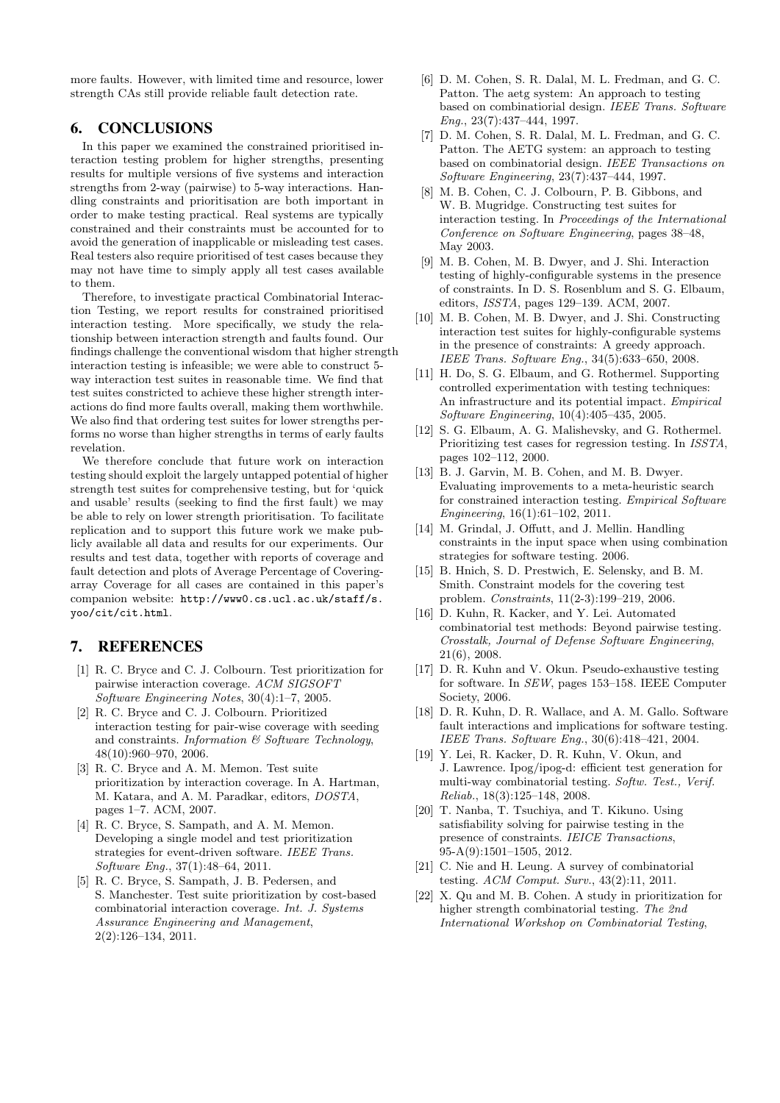more faults. However, with limited time and resource, lower strength CAs still provide reliable fault detection rate.

# 6. CONCLUSIONS

In this paper we examined the constrained prioritised interaction testing problem for higher strengths, presenting results for multiple versions of five systems and interaction strengths from 2-way (pairwise) to 5-way interactions. Handling constraints and prioritisation are both important in order to make testing practical. Real systems are typically constrained and their constraints must be accounted for to avoid the generation of inapplicable or misleading test cases. Real testers also require prioritised of test cases because they may not have time to simply apply all test cases available to them.

Therefore, to investigate practical Combinatorial Interaction Testing, we report results for constrained prioritised interaction testing. More specifically, we study the relationship between interaction strength and faults found. Our findings challenge the conventional wisdom that higher strength interaction testing is infeasible; we were able to construct 5 way interaction test suites in reasonable time. We find that test suites constricted to achieve these higher strength interactions do find more faults overall, making them worthwhile. We also find that ordering test suites for lower strengths performs no worse than higher strengths in terms of early faults revelation.

We therefore conclude that future work on interaction testing should exploit the largely untapped potential of higher strength test suites for comprehensive testing, but for 'quick and usable' results (seeking to find the first fault) we may be able to rely on lower strength prioritisation. To facilitate replication and to support this future work we make publicly available all data and results for our experiments. Our results and test data, together with reports of coverage and fault detection and plots of Average Percentage of Coveringarray Coverage for all cases are contained in this paper's companion website: http://www0.cs.ucl.ac.uk/staff/s. yoo/cit/cit.html.

# 7. REFERENCES

- [1] R. C. Bryce and C. J. Colbourn. Test prioritization for pairwise interaction coverage. ACM SIGSOFT Software Engineering Notes, 30(4):1–7, 2005.
- [2] R. C. Bryce and C. J. Colbourn. Prioritized interaction testing for pair-wise coverage with seeding and constraints. Information  $\mathcal C$  Software Technology, 48(10):960–970, 2006.
- [3] R. C. Bryce and A. M. Memon. Test suite prioritization by interaction coverage. In A. Hartman, M. Katara, and A. M. Paradkar, editors, DOSTA, pages 1–7. ACM, 2007.
- [4] R. C. Bryce, S. Sampath, and A. M. Memon. Developing a single model and test prioritization strategies for event-driven software. IEEE Trans. Software Eng., 37(1):48–64, 2011.
- [5] R. C. Bryce, S. Sampath, J. B. Pedersen, and S. Manchester. Test suite prioritization by cost-based combinatorial interaction coverage. Int. J. Systems Assurance Engineering and Management, 2(2):126–134, 2011.
- [6] D. M. Cohen, S. R. Dalal, M. L. Fredman, and G. C. Patton. The aetg system: An approach to testing based on combinatiorial design. IEEE Trans. Software Eng., 23(7):437–444, 1997.
- [7] D. M. Cohen, S. R. Dalal, M. L. Fredman, and G. C. Patton. The AETG system: an approach to testing based on combinatorial design. IEEE Transactions on Software Engineering, 23(7):437–444, 1997.
- [8] M. B. Cohen, C. J. Colbourn, P. B. Gibbons, and W. B. Mugridge. Constructing test suites for interaction testing. In Proceedings of the International Conference on Software Engineering, pages 38–48, May 2003.
- [9] M. B. Cohen, M. B. Dwyer, and J. Shi. Interaction testing of highly-configurable systems in the presence of constraints. In D. S. Rosenblum and S. G. Elbaum, editors, ISSTA, pages 129–139. ACM, 2007.
- [10] M. B. Cohen, M. B. Dwyer, and J. Shi. Constructing interaction test suites for highly-configurable systems in the presence of constraints: A greedy approach. IEEE Trans. Software Eng., 34(5):633–650, 2008.
- [11] H. Do, S. G. Elbaum, and G. Rothermel. Supporting controlled experimentation with testing techniques: An infrastructure and its potential impact. Empirical Software Engineering, 10(4):405–435, 2005.
- [12] S. G. Elbaum, A. G. Malishevsky, and G. Rothermel. Prioritizing test cases for regression testing. In ISSTA, pages 102–112, 2000.
- [13] B. J. Garvin, M. B. Cohen, and M. B. Dwyer. Evaluating improvements to a meta-heuristic search for constrained interaction testing. Empirical Software Engineering, 16(1):61–102, 2011.
- [14] M. Grindal, J. Offutt, and J. Mellin. Handling constraints in the input space when using combination strategies for software testing. 2006.
- [15] B. Hnich, S. D. Prestwich, E. Selensky, and B. M. Smith. Constraint models for the covering test problem. Constraints, 11(2-3):199–219, 2006.
- [16] D. Kuhn, R. Kacker, and Y. Lei. Automated combinatorial test methods: Beyond pairwise testing. Crosstalk, Journal of Defense Software Engineering, 21(6), 2008.
- [17] D. R. Kuhn and V. Okun. Pseudo-exhaustive testing for software. In SEW, pages 153–158. IEEE Computer Society, 2006.
- [18] D. R. Kuhn, D. R. Wallace, and A. M. Gallo. Software fault interactions and implications for software testing. IEEE Trans. Software Eng., 30(6):418–421, 2004.
- [19] Y. Lei, R. Kacker, D. R. Kuhn, V. Okun, and J. Lawrence. Ipog/ipog-d: efficient test generation for multi-way combinatorial testing. Softw. Test., Verif. Reliab., 18(3):125–148, 2008.
- [20] T. Nanba, T. Tsuchiya, and T. Kikuno. Using satisfiability solving for pairwise testing in the presence of constraints. IEICE Transactions, 95-A(9):1501–1505, 2012.
- [21] C. Nie and H. Leung. A survey of combinatorial testing. ACM Comput. Surv., 43(2):11, 2011.
- [22] X. Qu and M. B. Cohen. A study in prioritization for higher strength combinatorial testing. The 2nd International Workshop on Combinatorial Testing,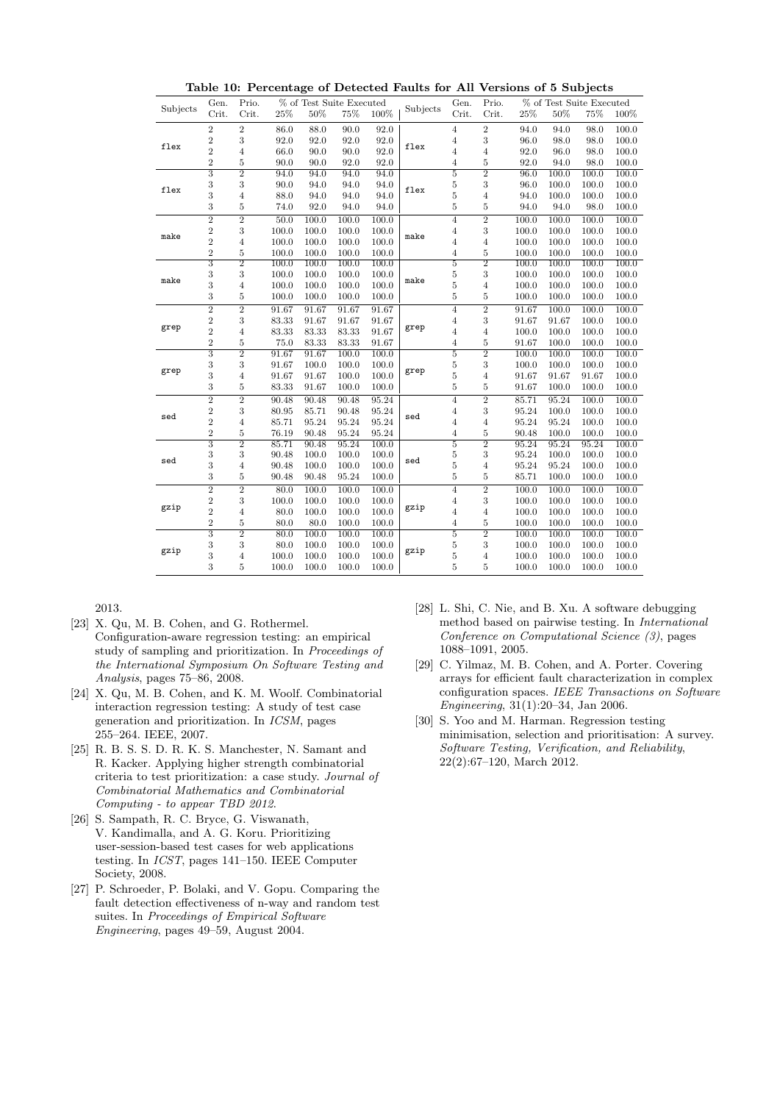| Subjects | Gen.                      | Prio.          | % of Test Suite Executed |       |       |       |          | Gen.           | Prio.            | % of Test Suite Executed |       |       |       |
|----------|---------------------------|----------------|--------------------------|-------|-------|-------|----------|----------------|------------------|--------------------------|-------|-------|-------|
|          | Crit.                     | Crit.          | 25%                      | 50%   | 75%   | 100%  | Subjects | Crit.          | Crit.            | 25%                      | 50%   | 75%   | 100%  |
|          |                           |                |                          |       |       |       |          |                |                  |                          |       |       |       |
| flex     | $\overline{2}$            | $\overline{2}$ | 86.0                     | 88.0  | 90.0  | 92.0  | flex     | 4              | $\boldsymbol{2}$ | 94.0                     | 94.0  | 98.0  | 100.0 |
|          | $\sqrt{2}$                | 3              | 92.0                     | 92.0  | 92.0  | 92.0  |          | $\overline{4}$ | 3                | 96.0                     | 98.0  | 98.0  | 100.0 |
|          | $\overline{2}$            | $\overline{4}$ | 66.0                     | 90.0  | 90.0  | 92.0  |          | $\overline{4}$ | 4                | 92.0                     | 96.0  | 98.0  | 100.0 |
|          | $\sqrt{2}$                | $\bf 5$        | 90.0                     | 90.0  | 92.0  | 92.0  |          | $\overline{4}$ | $\overline{5}$   | 92.0                     | 94.0  | 98.0  | 100.0 |
| flex     | $\overline{3}$            | $\overline{2}$ | 94.0                     | 94.0  | 94.0  | 94.0  | flex     | $\overline{5}$ | $\overline{2}$   | 96.0                     | 100.0 | 100.0 | 100.0 |
|          | 3                         | 3              | 90.0                     | 94.0  | 94.0  | 94.0  |          | $\overline{5}$ | 3                | 96.0                     | 100.0 | 100.0 | 100.0 |
|          | 3                         | $\overline{4}$ | 88.0                     | 94.0  | 94.0  | 94.0  |          | $\overline{5}$ | $\overline{4}$   | 94.0                     | 100.0 | 100.0 | 100.0 |
|          | 3                         | $\bf 5$        | 74.0                     | 92.0  | 94.0  | 94.0  |          | 5              | $\overline{5}$   | 94.0                     | 94.0  | 98.0  | 100.0 |
| make     | $\overline{2}$            | $\overline{2}$ | 50.0                     | 100.0 | 100.0 | 100.0 | make     | 4              | $\overline{2}$   | 100.0                    | 100.0 | 100.0 | 100.0 |
|          | $\sqrt{2}$                | $\,3$          | 100.0                    | 100.0 | 100.0 | 100.0 |          | $\overline{4}$ | 3                | 100.0                    | 100.0 | 100.0 | 100.0 |
|          | $\overline{2}$            | $\overline{4}$ | 100.0                    | 100.0 | 100.0 | 100.0 |          | 4              | $\overline{4}$   | 100.0                    | 100.0 | 100.0 | 100.0 |
|          | $\sqrt{2}$                | $\bf 5$        | 100.0                    | 100.0 | 100.0 | 100.0 |          | $\overline{4}$ | $\overline{5}$   | 100.0                    | 100.0 | 100.0 | 100.0 |
| make     | $\overline{3}$            | $\overline{2}$ | 100.0                    | 100.0 | 100.0 | 100.0 | make     | 5              | $\overline{2}$   | 100.0                    | 100.0 | 100.0 | 100.0 |
|          | 3                         | $\,3$          | 100.0                    | 100.0 | 100.0 | 100.0 |          | $\overline{5}$ | 3                | 100.0                    | 100.0 | 100.0 | 100.0 |
|          | 3                         | $\overline{4}$ | 100.0                    | 100.0 | 100.0 | 100.0 |          | $\overline{5}$ | 4                | 100.0                    | 100.0 | 100.0 | 100.0 |
|          | 3                         | $\bf 5$        | 100.0                    | 100.0 | 100.0 | 100.0 |          | 5              | 5                | 100.0                    | 100.0 | 100.0 | 100.0 |
| grep     | $\overline{2}$            | $\overline{2}$ | 91.67                    | 91.67 | 91.67 | 91.67 | grep     | $\overline{4}$ | $\overline{2}$   | 91.67                    | 100.0 | 100.0 | 100.0 |
|          | $\sqrt{2}$                | $\,3$          | 83.33                    | 91.67 | 91.67 | 91.67 |          | $\overline{4}$ | 3                | 91.67                    | 91.67 | 100.0 | 100.0 |
|          | $\overline{2}$            | $\overline{4}$ | 83.33                    | 83.33 | 83.33 | 91.67 |          | $\overline{4}$ | $\overline{4}$   | 100.0                    | 100.0 | 100.0 | 100.0 |
|          | $\overline{2}$            | $\bf 5$        | 75.0                     | 83.33 | 83.33 | 91.67 |          | 4              | $\overline{5}$   | 91.67                    | 100.0 | 100.0 | 100.0 |
| grep     | $\overline{3}$            | $\overline{2}$ | 91.67                    | 91.67 | 100.0 | 100.0 |          | $\overline{5}$ | $\overline{2}$   | 100.0                    | 100.0 | 100.0 | 100.0 |
|          | 3                         | $\,3$          | 91.67                    | 100.0 | 100.0 | 100.0 | grep     | $\overline{5}$ | 3                | 100.0                    | 100.0 | 100.0 | 100.0 |
|          | 3                         | $\overline{4}$ | 91.67                    | 91.67 | 100.0 | 100.0 |          | $\overline{5}$ | $\overline{4}$   | 91.67                    | 91.67 | 91.67 | 100.0 |
|          | 3                         | $\bf 5$        | 83.33                    | 91.67 | 100.0 | 100.0 |          | 5              | 5                | 91.67                    | 100.0 | 100.0 | 100.0 |
| sed      | $\overline{2}$            | $\overline{2}$ | 90.48                    | 90.48 | 90.48 | 95.24 |          | $\overline{4}$ | $\overline{2}$   | 85.71                    | 95.24 | 100.0 | 100.0 |
|          | $\sqrt{2}$                | $\,3$          | 80.95                    | 85.71 | 90.48 | 95.24 | sed      | $\overline{4}$ | 3                | 95.24                    | 100.0 | 100.0 | 100.0 |
|          | $\overline{2}$            | $\overline{4}$ | 85.71                    | 95.24 | 95.24 | 95.24 |          | $\overline{4}$ | $\overline{4}$   | 95.24                    | 95.24 | 100.0 | 100.0 |
|          | $\overline{2}$            | $\overline{5}$ | 76.19                    | 90.48 | 95.24 | 95.24 |          | 4              | $\overline{5}$   | 90.48                    | 100.0 | 100.0 | 100.0 |
| sed      | $\overline{\overline{3}}$ | $\overline{2}$ | 85.71                    | 90.48 | 95.24 | 100.0 |          | 5              | $\overline{2}$   | 95.24                    | 95.24 | 95.24 | 100.0 |
|          | 3                         | $\,3$          | 90.48                    | 100.0 | 100.0 | 100.0 | sed      | $\overline{5}$ | 3                | 95.24                    | 100.0 | 100.0 | 100.0 |
|          | 3                         | $\overline{4}$ | 90.48                    | 100.0 | 100.0 | 100.0 |          | $\overline{5}$ | 4                | 95.24                    | 95.24 | 100.0 | 100.0 |
|          | 3                         | $\bf 5$        | 90.48                    | 90.48 | 95.24 | 100.0 |          | 5              | 5                | 85.71                    | 100.0 | 100.0 | 100.0 |
| gzip     | $\overline{2}$            | $\overline{2}$ | 80.0                     | 100.0 | 100.0 | 100.0 |          | $\overline{4}$ | $\overline{2}$   | 100.0                    | 100.0 | 100.0 | 100.0 |
|          | $\boldsymbol{2}$          | $\,3$          | 100.0                    | 100.0 | 100.0 | 100.0 | gzip     | $\overline{4}$ | 3                | 100.0                    | 100.0 | 100.0 | 100.0 |
|          | $\overline{2}$            | $\overline{4}$ | 80.0                     | 100.0 | 100.0 | 100.0 |          | $\overline{4}$ | 4                | 100.0                    | 100.0 | 100.0 | 100.0 |
|          | $\overline{2}$            | $\overline{5}$ | 80.0                     | 80.0  | 100.0 | 100.0 |          | 4              | $\overline{5}$   | 100.0                    | 100.0 | 100.0 | 100.0 |
| gzip     | $\overline{\overline{3}}$ | $\overline{2}$ | 80.0                     | 100.0 | 100.0 | 100.0 |          | $\overline{5}$ | $\overline{2}$   | 100.0                    | 100.0 | 100.0 | 100.0 |
|          | 3                         | $\,3$          | 80.0                     | 100.0 | 100.0 | 100.0 | gzip     | 5              | 3                | 100.0                    | 100.0 | 100.0 | 100.0 |
|          | 3                         | $\overline{4}$ | 100.0                    | 100.0 | 100.0 | 100.0 |          | 5              | $\overline{4}$   | 100.0                    | 100.0 | 100.0 | 100.0 |
|          | 3                         | 5              | 100.0                    | 100.0 | 100.0 | 100.0 |          | 5              | 5                | 100.0                    | 100.0 | 100.0 | 100.0 |
|          |                           |                |                          |       |       |       |          |                |                  |                          |       |       |       |

Table 10: Percentage of Detected Faults for All Versions of 5 Subjects

2013.

- [23] X. Qu, M. B. Cohen, and G. Rothermel. Configuration-aware regression testing: an empirical study of sampling and prioritization. In Proceedings of the International Symposium On Software Testing and Analysis, pages 75–86, 2008.
- [24] X. Qu, M. B. Cohen, and K. M. Woolf. Combinatorial interaction regression testing: A study of test case generation and prioritization. In ICSM, pages 255–264. IEEE, 2007.
- [25] R. B. S. S. D. R. K. S. Manchester, N. Samant and R. Kacker. Applying higher strength combinatorial criteria to test prioritization: a case study. Journal of Combinatorial Mathematics and Combinatorial Computing - to appear TBD 2012.
- [26] S. Sampath, R. C. Bryce, G. Viswanath, V. Kandimalla, and A. G. Koru. Prioritizing user-session-based test cases for web applications testing. In ICST, pages 141–150. IEEE Computer Society, 2008.
- [27] P. Schroeder, P. Bolaki, and V. Gopu. Comparing the fault detection effectiveness of n-way and random test suites. In Proceedings of Empirical Software Engineering, pages 49–59, August 2004.
- [28] L. Shi, C. Nie, and B. Xu. A software debugging method based on pairwise testing. In International Conference on Computational Science (3), pages 1088–1091, 2005.
- [29] C. Yilmaz, M. B. Cohen, and A. Porter. Covering arrays for efficient fault characterization in complex configuration spaces. IEEE Transactions on Software Engineering, 31(1):20–34, Jan 2006.
- [30] S. Yoo and M. Harman. Regression testing minimisation, selection and prioritisation: A survey. Software Testing, Verification, and Reliability, 22(2):67–120, March 2012.